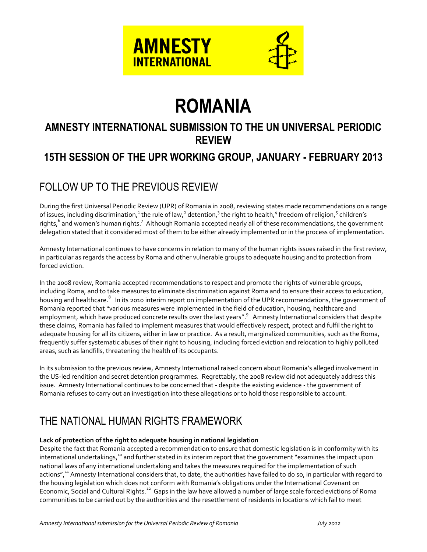

# **ROMANIA**

# **AMNESTY INTERNATIONAL SUBMISSION TO THE UN UNIVERSAL PERIODIC REVIEW**

## **15TH SESSION OF THE UPR WORKING GROUP, JANUARY - FEBRUARY 2013**

# FOLLOW UP TO THE PREVIOUS REVIEW

During the first Universal Periodic Review (UPR) of Romania in 2008, reviewing states made recommendations on a range of issues, including discrimination, $^1$  the rule of law, $^2$  detention, $^3$  the right to health, $^4$  freedom of religion, $^5$  children's rights, <sup>6</sup> and women's human rights.<sup>7</sup> Although Romania accepted nearly all of these recommendations, the government delegation stated that it considered most of them to be either already implemented or in the process of implementation.

Amnesty International continues to have concerns in relation to many of the human rights issues raised in the first review, in particular as regards the access by Roma and other vulnerable groups to adequate housing and to protection from forced eviction.

In the 2008 review, Romania accepted recommendations to respect and promote the rights of vulnerable groups, including Roma, and to take measures to eliminate discrimination against Roma and to ensure their access to education, housing and healthcare.<sup>8</sup> In its 2010 interim report on implementation of the UPR recommendations, the government of Romania reported that "various measures were implemented in the field of education, housing, healthcare and employment, which have produced concrete results over the last years".<sup>9</sup> Amnesty International considers that despite these claims, Romania has failed to implement measures that would effectively respect, protect and fulfil the right to adequate housing for all its citizens, either in law or practice. As a result, marginalized communities, such as the Roma, frequently suffer systematic abuses of their right to housing, including forced eviction and relocation to highly polluted areas, such as landfills, threatening the health of its occupants.

In its submission to the previous review, Amnesty International raised concern about Romania's alleged involvement in the US-led rendition and secret detention programmes. Regrettably, the 2008 review did not adequately address this issue. Amnesty International continues to be concerned that - despite the existing evidence - the government of Romania refuses to carry out an investigation into these allegations or to hold those responsible to account.

## THE NATIONAL HUMAN RIGHTS FRAMEWORK

### **Lack of protection of the right to adequate housing in national legislation**

Despite the fact that Romania accepted a recommendation to ensure that domestic legislation is in conformity with its international undertakings,<sup>10</sup> and further stated in its interim report that the government "examines the impact upon national laws of any international undertaking and takes the measures required for the implementation of such actions",<sup>11</sup> Amnesty International considers that, to date, the authorities have failed to do so, in particular with regard to the housing legislation which does not conform with Romania's obligations under the International Covenant on Economic, Social and Cultural Rights.<sup>12</sup> Gaps in the law have allowed a number of large scale forced evictions of Roma communities to be carried out by the authorities and the resettlement of residents in locations which fail to meet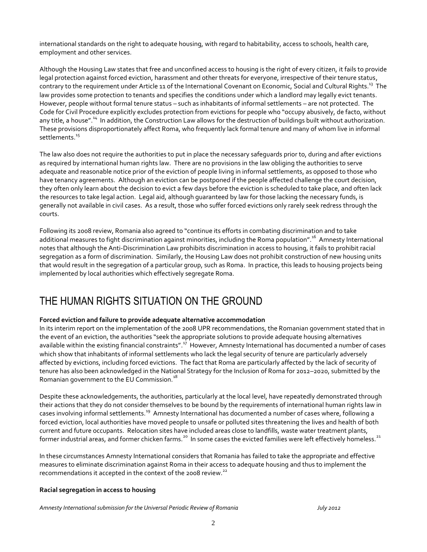international standards on the right to adequate housing, with regard to habitability, access to schools, health care, employment and other services.

Although the Housing Law states that free and unconfined access to housing is the right of every citizen, it fails to provide legal protection against forced eviction, harassment and other threats for everyone, irrespective of their tenure status, contrary to the requirement under Article 11 of the International Covenant on Economic, Social and Cultural Rights.<sup>13</sup> The law provides some protection to tenants and specifies the conditions under which a landlord may legally evict tenants. However, people without formal tenure status – such as inhabitants of informal settlements – are not protected. The Code for Civil Procedure explicitly excludes protection from evictions for people who "occupy abusively, de facto, without any title, a house".<sup>14</sup> In addition, the Construction Law allows for the destruction of buildings built without authorization. These provisions disproportionately affect Roma, who frequently lack formal tenure and many of whom live in informal settlements. 15

The law also does not require the authorities to put in place the necessary safeguards prior to, during and after evictions as required by international human rights law. There are no provisions in the law obliging the authorities to serve adequate and reasonable notice prior of the eviction of people living in informal settlements, as opposed to those who have tenancy agreements. Although an eviction can be postponed if the people affected challenge the court decision, they often only learn about the decision to evict a few days before the eviction is scheduled to take place, and often lack the resources to take legal action. Legal aid, although guaranteed by law for those lacking the necessary funds, is generally not available in civil cases. As a result, those who suffer forced evictions only rarely seek redress through the courts.

Following its 2008 review, Romania also agreed to "continue its efforts in combating discrimination and to take additional measures to fight discrimination against minorities, including the Roma population". <sup>16</sup> Amnesty International notes that although the Anti-Discrimination Law prohibits discrimination in access to housing, it fails to prohibit racial segregation as a form of discrimination. Similarly, the Housing Law does not prohibit construction of new housing units that would result in the segregation of a particular group, such as Roma. In practice, this leads to housing projects being implemented by local authorities which effectively segregate Roma.

### THE HUMAN RIGHTS SITUATION ON THE GROUND

### **Forced eviction and failure to provide adequate alternative accommodation**

In its interim report on the implementation of the 2008 UPR recommendations, the Romanian government stated that in the event of an eviction, the authorities "seek the appropriate solutions to provide adequate housing alternatives available within the existing financial constraints".<sup>17</sup> However, Amnesty International has documented a number of cases which show that inhabitants of informal settlements who lack the legal security of tenure are particularly adversely affected by evictions, including forced evictions. The fact that Roma are particularly affected by the lack of security of tenure has also been acknowledged in the National Strategy for the Inclusion of Roma for 2012–2020, submitted by the Romanian government to the EU Commission.<sup>18</sup>

Despite these acknowledgements, the authorities, particularly at the local level, have repeatedly demonstrated through their actions that they do not consider themselves to be bound by the requirements of international human rights law in cases involving informal settlements.<sup>19</sup> Amnesty International has documented a number of cases where, following a forced eviction, local authorities have moved people to unsafe or polluted sites threatening the lives and health of both current and future occupants. Relocation sites have included areas close to landfills, waste water treatment plants, former industrial areas, and former chicken farms. $^{20}$  In some cases the evicted families were left effectively homeless. $^{21}$ 

In these circumstances Amnesty International considers that Romania has failed to take the appropriate and effective measures to eliminate discrimination against Roma in their access to adequate housing and thus to implement the recommendations it accepted in the context of the 2008 review.<sup>22</sup>

#### **Racial segregation in access to housing**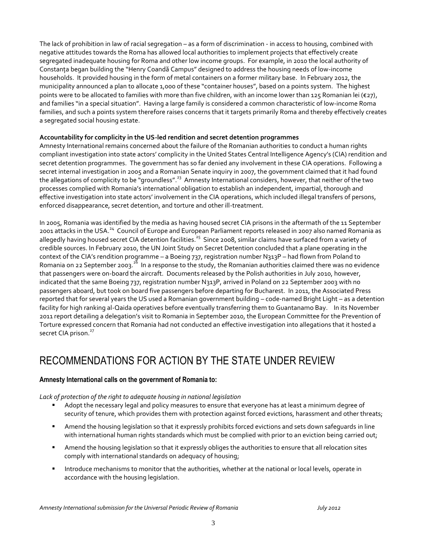The lack of prohibition in law of racial segregation – as a form of discrimination - in access to housing, combined with negative attitudes towards the Roma has allowed local authorities to implement projects that effectively create segregated inadequate housing for Roma and other low income groups. For example, in 2010 the local authority of Constanţa began building the "Henry Coandă Campus" designed to address the housing needs of low-income households. It provided housing in the form of metal containers on a former military base. In February 2012, the municipality announced a plan to allocate 1,000 of these "container houses", based on a points system. The highest points were to be allocated to families with more than five children, with an income lower than 125 Romanian lei ( $\epsilon$ 27), and families "in a special situation". Having a large family is considered a common characteristic of low-income Roma families, and such a points system therefore raises concerns that it targets primarily Roma and thereby effectively creates a segregated social housing estate.

#### **Accountability for complicity in the US-led rendition and secret detention programmes**

Amnesty International remains concerned about the failure of the Romanian authorities to conduct a human rights compliant investigation into state actors' complicity in the United States Central Intelligence Agency's (CIA) rendition and secret detention programmes. The government has so far denied any involvement in these CIA operations. Following a secret internal investigation in 2005 and a Romanian Senate inquiry in 2007, the government claimed that it had found the allegations of complicity to be "groundless".<sup>23</sup> Amnesty International considers, however, that neither of the two processes complied with Romania's international obligation to establish an independent, impartial, thorough and effective investigation into state actors' involvement in the CIA operations, which included illegal transfers of persons, enforced disappearance, secret detention, and torture and other ill-treatment.

In 2005, Romania was identified by the media as having housed secret CIA prisons in the aftermath of the 11 September 2001 attacks in the USA.<sup>24</sup> Council of Europe and European Parliament reports released in 2007 also named Romania as allegedly having housed secret CIA detention facilities.<sup>25</sup> Since 2008, similar claims have surfaced from a variety of credible sources. In February 2010, the UN Joint Study on Secret Detention concluded that a plane operating in the context of the CIA's rendition programme – a Boeing 737, registration number N313P – had flown from Poland to Romania on 22 September 2003.<sup>26</sup> In a response to the study, the Romanian authorities claimed there was no evidence that passengers were on-board the aircraft. Documents released by the Polish authorities in July 2010, however, indicated that the same Boeing 737, registration number N313P, arrived in Poland on 22 September 2003 with no passengers aboard, but took on board five passengers before departing for Bucharest. In 2011, the Associated Press reported that for several years the US used a Romanian government building – code-named Bright Light – as a detention facility for high ranking al-Qaida operatives before eventually transferring them to Guantanamo Bay. In its November 2011 report detailing a delegation's visit to Romania in September 2010, the European Committee for the Prevention of Torture expressed concern that Romania had not conducted an effective investigation into allegations that it hosted a secret CIA prison.<sup>27</sup>

# RECOMMENDATIONS FOR ACTION BY THE STATE UNDER REVIEW

### **Amnesty International calls on the government of Romania to:**

### *Lack of protection of the right to adequate housing in national legislation*

- Adopt the necessary legal and policy measures to ensure that everyone has at least a minimum degree of security of tenure, which provides them with protection against forced evictions, harassment and other threats;
- Amend the housing legislation so that it expressly prohibits forced evictions and sets down safeguards in line with international human rights standards which must be complied with prior to an eviction being carried out;
- Amend the housing legislation so that it expressly obliges the authorities to ensure that all relocation sites comply with international standards on adequacy of housing;
- Introduce mechanisms to monitor that the authorities, whether at the national or local levels, operate in accordance with the housing legislation.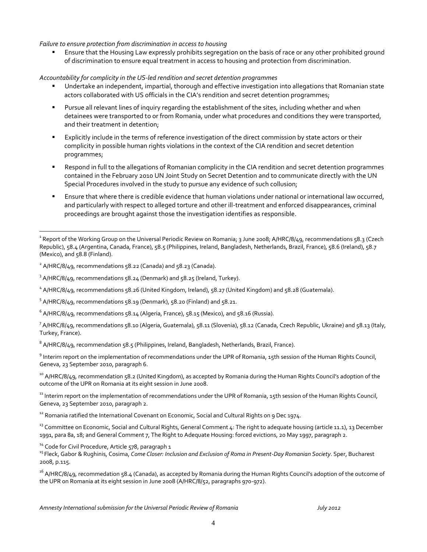#### *Failure to ensure protection from discrimination in access to housing*

 Ensure that the Housing Law expressly prohibits segregation on the basis of race or any other prohibited ground of discrimination to ensure equal treatment in access to housing and protection from discrimination.

#### *Accountability for complicity in the US-led rendition and secret detention programmes*

- Undertake an independent, impartial, thorough and effective investigation into allegations that Romanian state actors collaborated with US officials in the CIA's rendition and secret detention programmes;
- Pursue all relevant lines of inquiry regarding the establishment of the sites, including whether and when detainees were transported to or from Romania, under what procedures and conditions they were transported, and their treatment in detention;
- Explicitly include in the terms of reference investigation of the direct commission by state actors or their complicity in possible human rights violations in the context of the CIA rendition and secret detention programmes;
- Respond in full to the allegations of Romanian complicity in the CIA rendition and secret detention programmes contained in the February 2010 UN Joint Study on Secret Detention and to communicate directly with the UN Special Procedures involved in the study to pursue any evidence of such collusion;
- Ensure that where there is credible evidence that human violations under national or international law occurred, and particularly with respect to alleged torture and other ill-treatment and enforced disappearances, criminal proceedings are brought against those the investigation identifies as responsible.

 $\overline{a}$ 

 $^6$  A/HRC/8/49, recommendations 58.14 (Algeria, France), 58.15 (Mexico), and 58.16 (Russia).

 $^7$  A/HRC/8/49, recommendations 58.10 (Algeria, Guatemala), 58.11 (Slovenia), 58.12 (Canada, Czech Republic, Ukraine) and 58.13 (Italy, Turkey, France).

 $^8$  A/HRC/8/49, recommendation 58.5 (Philippines, Ireland, Bangladesh, Netherlands, Brazil, France).

<sup>9</sup> Interim report on the implementation of recommendations under the UPR of Romania, 15th session of the Human Rights Council, Geneva, 23 September 2010, paragraph 6.

<sup>10</sup> A/HRC/8/49, recommendation 58.2 (United Kingdom), as accepted by Romania during the Human Rights Council's adoption of the outcome of the UPR on Romania at its eight session in June 2008.

<sup>11</sup> Interim report on the implementation of recommendations under the UPR of Romania, 15th session of the Human Rights Council, Geneva, 23 September 2010, paragraph 2.

<sup>12</sup> Romania ratified the International Covenant on Economic, Social and Cultural Rights on 9 Dec 1974.

<sup>13</sup> Committee on Economic, Social and Cultural Rights, General Comment 4: The right to adequate housing (article 11.1), 13 December 1991, para 8a, 18; and General Comment 7, The Right to Adequate Housing: forced evictions, 20 May 1997, paragraph 2.

<sup>14</sup> Code for Civil Procedure, Article 578, paragraph 1

<sup>15</sup> Fleck, Gabor & Rughinis, Cosima, *Come Closer: Inclusion and Exclusion of Roma in Present-Day Romanian Society*. Sper, Bucharest 2008, p.115.

<sup>16</sup> A/HRC/8/49, recommedation 58.4 (Canada), as accepted by Romania during the Human Rights Council's adoption of the outcome of the UPR on Romania at its eight session in June 2008 (A/HRC/8/52, paragraphs 970-972).

<sup>&</sup>lt;sup>1</sup> Report of the Working Group on the Universal Periodic Review on Romania; 3 June 2008; A/HRC/8/49, recommendations 58.3 (Czech Republic), 58.4 (Argentina, Canada, France), 58.5 (Philippines, Ireland, Bangladesh, Netherlands, Brazil, France), 58.6 (Ireland), 58.7 (Mexico), and 58.8 (Finland).

 $^2$  A/HRC/8/49, recommendations 58.22 (Canada) and 58.23 (Canada).

<sup>&</sup>lt;sup>3</sup> A/HRC/8/49, recommendations 58.24 (Denmark) and 58.25 (Ireland, Turkey).

<sup>&</sup>lt;sup>4</sup> A/HRC/8/49, recommendations 58.26 (United Kingdom, Ireland), 58.27 (United Kingdom) and 58.28 (Guatemala).

 $5$  A/HRC/8/49, recommendations 58.19 (Denmark), 58.20 (Finland) and 58.21.